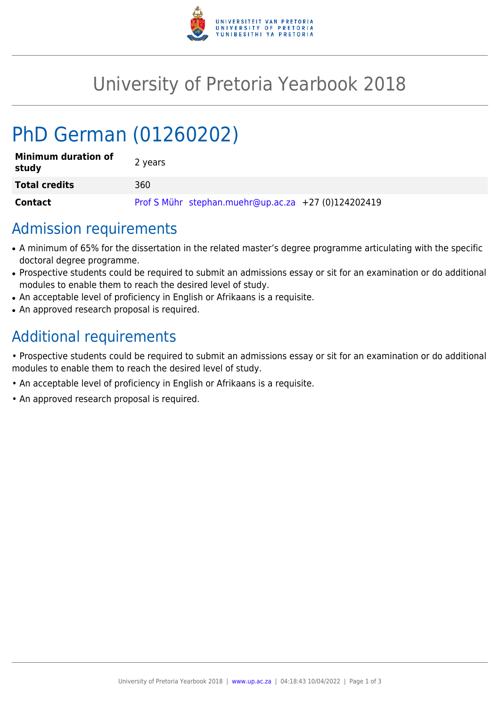

## University of Pretoria Yearbook 2018

# PhD German (01260202)

| <b>Minimum duration of</b><br>study | 2 years                                             |
|-------------------------------------|-----------------------------------------------------|
| <b>Total credits</b>                | 360                                                 |
| Contact                             | Prof S Mühr stephan.muehr@up.ac.za +27 (0)124202419 |

#### Admission requirements

- A minimum of 65% for the dissertation in the related master's degree programme articulating with the specific doctoral degree programme.
- Prospective students could be required to submit an admissions essay or sit for an examination or do additional modules to enable them to reach the desired level of study.
- An acceptable level of proficiency in English or Afrikaans is a requisite.
- An approved research proposal is required.

## Additional requirements

• Prospective students could be required to submit an admissions essay or sit for an examination or do additional modules to enable them to reach the desired level of study.

- An acceptable level of proficiency in English or Afrikaans is a requisite.
- An approved research proposal is required.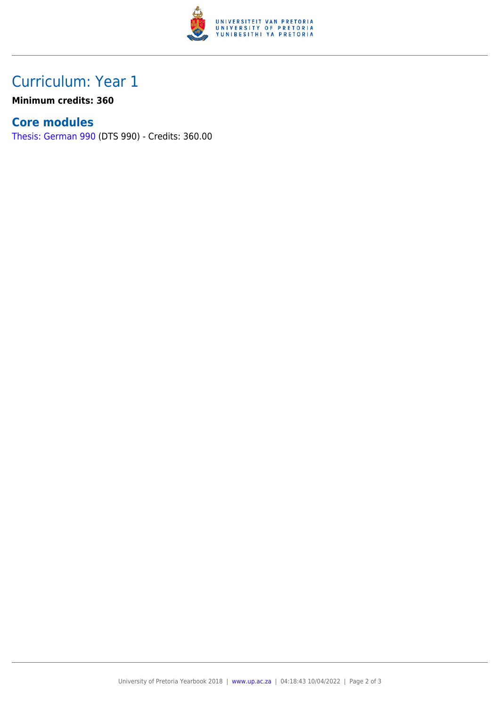

### Curriculum: Year 1

**Minimum credits: 360**

#### **Core modules**

[Thesis: German 990](https://www.up.ac.za/faculty-of-education/yearbooks/2018/modules/view/DTS 990) (DTS 990) - Credits: 360.00